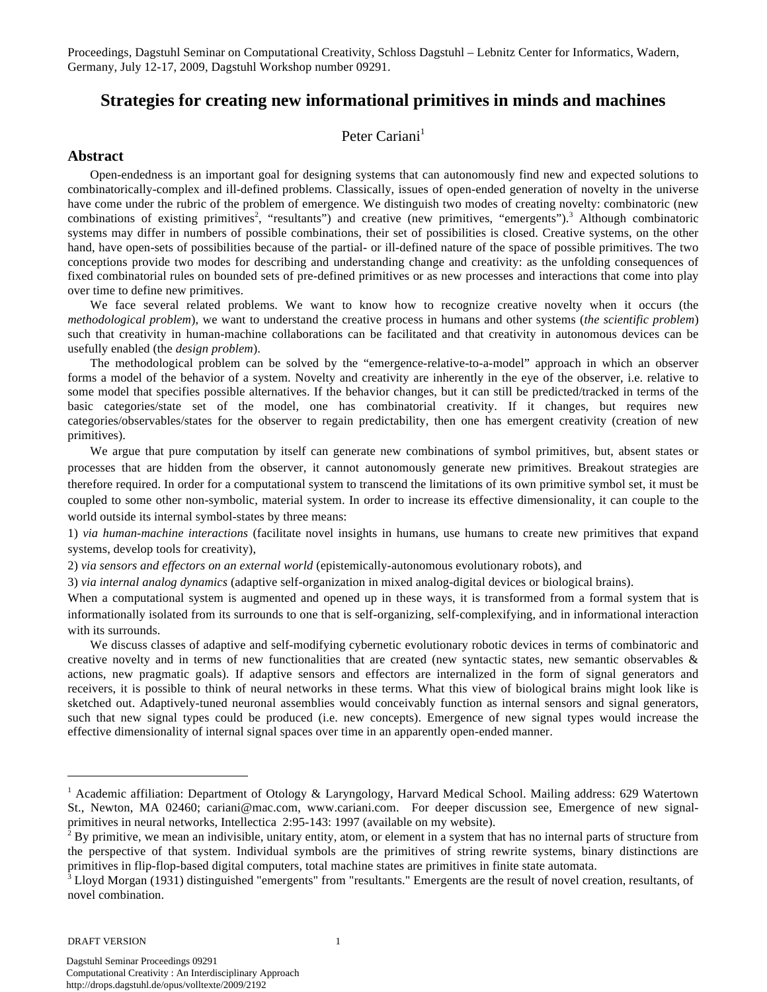Proceedings, Dagstuhl Seminar on Computational Creativity, Schloss Dagstuhl – Lebnitz Center for Informatics, Wadern, Germany, July 12-17, 2009, Dagstuhl Workshop number 09291.

# **Strategies for creating new informational primitives in minds and machines**

## Peter Cariani<sup>1</sup>

#### **Abstract**

Open-endedness is an important goal for designing systems that can autonomously find new and expected solutions to combinatorically-complex and ill-defined problems. Classically, issues of open-ended generation of novelty in the universe have come under the rubric of the problem of emergence. We distinguish two modes of creating novelty: combinatoric (new combinations of existing primitives<sup>2</sup>, "resultants") and creative (new primitives, "emergents").<sup>3</sup> Although combinatoric systems may differ in numbers of possible combinations, their set of possibilities is closed. Creative systems, on the other hand, have open-sets of possibilities because of the partial- or ill-defined nature of the space of possible primitives. The two conceptions provide two modes for describing and understanding change and creativity: as the unfolding consequences of fixed combinatorial rules on bounded sets of pre-defined primitives or as new processes and interactions that come into play over time to define new primitives.

We face several related problems. We want to know how to recognize creative novelty when it occurs (the *methodological problem*), we want to understand the creative process in humans and other systems (*the scientific problem*) such that creativity in human-machine collaborations can be facilitated and that creativity in autonomous devices can be usefully enabled (the *design problem*).

The methodological problem can be solved by the "emergence-relative-to-a-model" approach in which an observer forms a model of the behavior of a system. Novelty and creativity are inherently in the eye of the observer, i.e. relative to some model that specifies possible alternatives. If the behavior changes, but it can still be predicted/tracked in terms of the basic categories/state set of the model, one has combinatorial creativity. If it changes, but requires new categories/observables/states for the observer to regain predictability, then one has emergent creativity (creation of new primitives).

 We argue that pure computation by itself can generate new combinations of symbol primitives, but, absent states or processes that are hidden from the observer, it cannot autonomously generate new primitives. Breakout strategies are therefore required. In order for a computational system to transcend the limitations of its own primitive symbol set, it must be coupled to some other non-symbolic, material system. In order to increase its effective dimensionality, it can couple to the world outside its internal symbol-states by three means:

1) *via human-machine interactions* (facilitate novel insights in humans, use humans to create new primitives that expand systems, develop tools for creativity),

2) *via sensors and effectors on an external world* (epistemically-autonomous evolutionary robots), and

3) *via internal analog dynamics* (adaptive self-organization in mixed analog-digital devices or biological brains).

When a computational system is augmented and opened up in these ways, it is transformed from a formal system that is informationally isolated from its surrounds to one that is self-organizing, self-complexifying, and in informational interaction with its surrounds.

We discuss classes of adaptive and self-modifying cybernetic evolutionary robotic devices in terms of combinatoric and creative novelty and in terms of new functionalities that are created (new syntactic states, new semantic observables & actions, new pragmatic goals). If adaptive sensors and effectors are internalized in the form of signal generators and receivers, it is possible to think of neural networks in these terms. What this view of biological brains might look like is sketched out. Adaptively-tuned neuronal assemblies would conceivably function as internal sensors and signal generators, such that new signal types could be produced (i.e. new concepts). Emergence of new signal types would increase the effective dimensionality of internal signal spaces over time in an apparently open-ended manner.

#### DRAFT VERSION 1

 $\overline{a}$ 

<sup>&</sup>lt;sup>1</sup> Academic affiliation: Department of Otology & Laryngology, Harvard Medical School. Mailing address: 629 Watertown St., Newton, MA 02460; cariani@mac.com, www.cariani.com. For deeper discussion see, Emergence of new signalprimitives in neural networks, Intellectica 2:95-143: 1997 (available on my website).

<sup>2</sup> By primitive, we mean an indivisible, unitary entity, atom, or element in a system that has no internal parts of structure from the perspective of that system. Individual symbols are the primitives of string rewrite systems, binary distinctions are primitives in flip-flop-based digital computers, total machine states are primitives in finite state automata.

<sup>&</sup>lt;sup>3</sup> Lloyd Morgan (1931) distinguished "emergents" from "resultants." Emergents are the result of novel creation, resultants, of novel combination.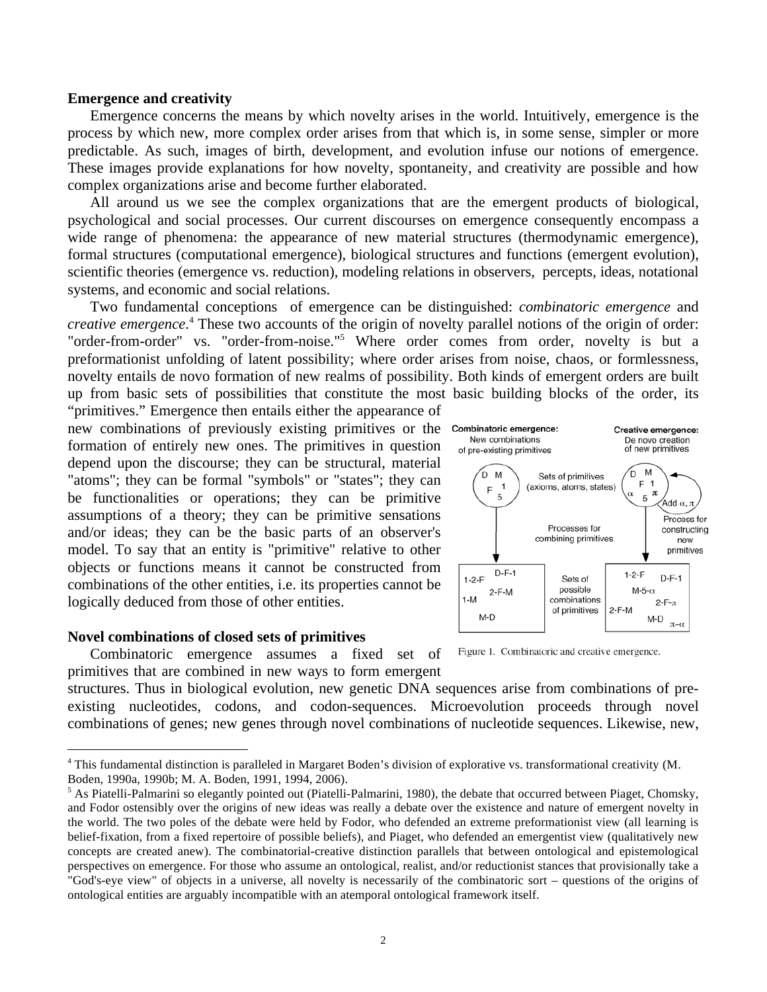#### **Emergence and creativity**

Emergence concerns the means by which novelty arises in the world. Intuitively, emergence is the process by which new, more complex order arises from that which is, in some sense, simpler or more predictable. As such, images of birth, development, and evolution infuse our notions of emergence. These images provide explanations for how novelty, spontaneity, and creativity are possible and how complex organizations arise and become further elaborated.

All around us we see the complex organizations that are the emergent products of biological, psychological and social processes. Our current discourses on emergence consequently encompass a wide range of phenomena: the appearance of new material structures (thermodynamic emergence), formal structures (computational emergence), biological structures and functions (emergent evolution), scientific theories (emergence vs. reduction), modeling relations in observers, percepts, ideas, notational systems, and economic and social relations.

Two fundamental conceptions of emergence can be distinguished: *combinatoric emergence* and *creative emergence*. 4 These two accounts of the origin of novelty parallel notions of the origin of order: "order-from-order" vs. "order-from-noise."<sup>5</sup> Where order comes from order, novelty is but a preformationist unfolding of latent possibility; where order arises from noise, chaos, or formlessness, novelty entails de novo formation of new realms of possibility. Both kinds of emergent orders are built up from basic sets of possibilities that constitute the most basic building blocks of the order, its

"primitives." Emergence then entails either the appearance of new combinations of previously existing primitives or the formation of entirely new ones. The primitives in question depend upon the discourse; they can be structural, material "atoms"; they can be formal "symbols" or "states"; they can be functionalities or operations; they can be primitive assumptions of a theory; they can be primitive sensations and/or ideas; they can be the basic parts of an observer's model. To say that an entity is "primitive" relative to other objects or functions means it cannot be constructed from combinations of the other entities, i.e. its properties cannot be logically deduced from those of other entities.

## **Novel combinations of closed sets of primitives**

Combinatoric emergence assumes a fixed set of primitives that are combined in new ways to form emergent

structures. Thus in biological evolution, new genetic DNA sequences arise from combinations of preexisting nucleotides, codons, and codon-sequences. Microevolution proceeds through novel combinations of genes; new genes through novel combinations of nucleotide sequences. Likewise, new,



Figure 1. Combinatoric and creative emergence.

 <sup>4</sup> This fundamental distinction is paralleled in Margaret Boden's division of explorative vs. transformational creativity (M. Boden, 1990a, 1990b; M. A. Boden, 1991, 1994, 2006).

<sup>&</sup>lt;sup>5</sup> As Piatelli-Palmarini so elegantly pointed out (Piatelli-Palmarini, 1980), the debate that occurred between Piaget, Chomsky, and Fodor ostensibly over the origins of new ideas was really a debate over the existence and nature of emergent novelty in the world. The two poles of the debate were held by Fodor, who defended an extreme preformationist view (all learning is belief-fixation, from a fixed repertoire of possible beliefs), and Piaget, who defended an emergentist view (qualitatively new concepts are created anew). The combinatorial-creative distinction parallels that between ontological and epistemological perspectives on emergence. For those who assume an ontological, realist, and/or reductionist stances that provisionally take a "God's-eye view" of objects in a universe, all novelty is necessarily of the combinatoric sort – questions of the origins of ontological entities are arguably incompatible with an atemporal ontological framework itself.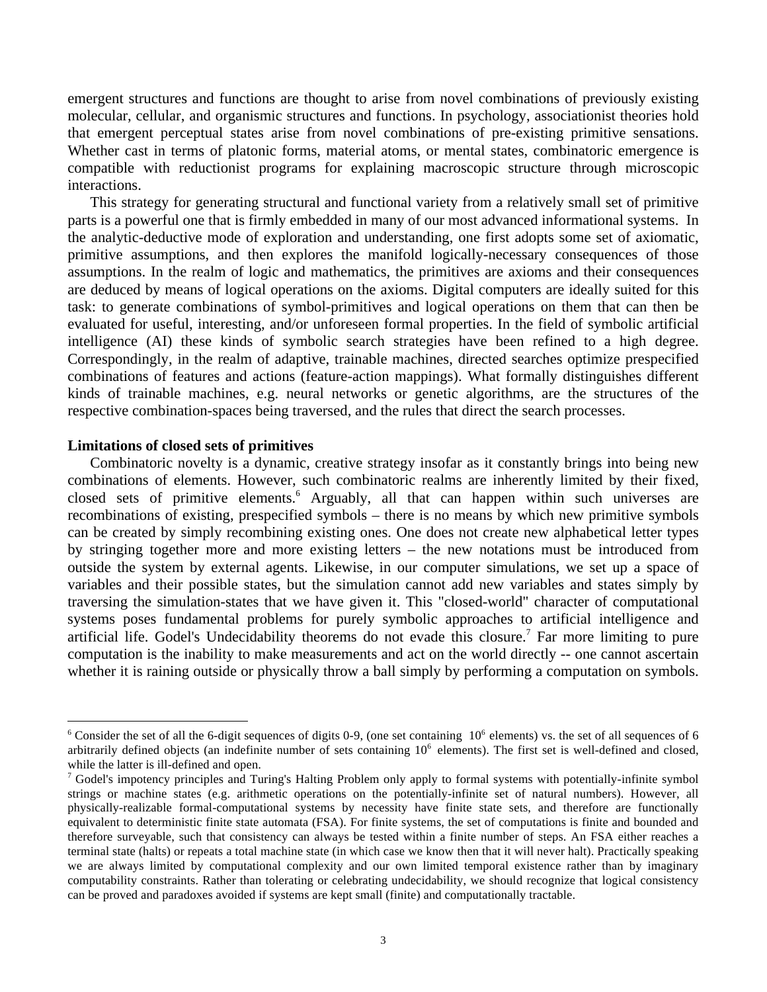emergent structures and functions are thought to arise from novel combinations of previously existing molecular, cellular, and organismic structures and functions. In psychology, associationist theories hold that emergent perceptual states arise from novel combinations of pre-existing primitive sensations. Whether cast in terms of platonic forms, material atoms, or mental states, combinatoric emergence is compatible with reductionist programs for explaining macroscopic structure through microscopic interactions.

This strategy for generating structural and functional variety from a relatively small set of primitive parts is a powerful one that is firmly embedded in many of our most advanced informational systems. In the analytic-deductive mode of exploration and understanding, one first adopts some set of axiomatic, primitive assumptions, and then explores the manifold logically-necessary consequences of those assumptions. In the realm of logic and mathematics, the primitives are axioms and their consequences are deduced by means of logical operations on the axioms. Digital computers are ideally suited for this task: to generate combinations of symbol-primitives and logical operations on them that can then be evaluated for useful, interesting, and/or unforeseen formal properties. In the field of symbolic artificial intelligence (AI) these kinds of symbolic search strategies have been refined to a high degree. Correspondingly, in the realm of adaptive, trainable machines, directed searches optimize prespecified combinations of features and actions (feature-action mappings). What formally distinguishes different kinds of trainable machines, e.g. neural networks or genetic algorithms, are the structures of the respective combination-spaces being traversed, and the rules that direct the search processes.

#### **Limitations of closed sets of primitives**

Combinatoric novelty is a dynamic, creative strategy insofar as it constantly brings into being new combinations of elements. However, such combinatoric realms are inherently limited by their fixed, closed sets of primitive elements.<sup>6</sup> Arguably, all that can happen within such universes are recombinations of existing, prespecified symbols – there is no means by which new primitive symbols can be created by simply recombining existing ones. One does not create new alphabetical letter types by stringing together more and more existing letters – the new notations must be introduced from outside the system by external agents. Likewise, in our computer simulations, we set up a space of variables and their possible states, but the simulation cannot add new variables and states simply by traversing the simulation-states that we have given it. This "closed-world" character of computational systems poses fundamental problems for purely symbolic approaches to artificial intelligence and artificial life. Godel's Undecidability theorems do not evade this closure.<sup>7</sup> Far more limiting to pure computation is the inability to make measurements and act on the world directly -- one cannot ascertain whether it is raining outside or physically throw a ball simply by performing a computation on symbols.

 $6$  Consider the set of all the 6-digit sequences of digits 0-9, (one set containing  $10<sup>6</sup>$  elements) vs. the set of all sequences of 6 arbitrarily defined objects (an indefinite number of sets containing  $10<sup>6</sup>$  elements). The first set is well-defined and closed, while the latter is ill-defined and open.

<sup>&</sup>lt;sup>7</sup> Godel's impotency principles and Turing's Halting Problem only apply to formal systems with potentially-infinite symbol strings or machine states (e.g. arithmetic operations on the potentially-infinite set of natural numbers). However, all physically-realizable formal-computational systems by necessity have finite state sets, and therefore are functionally equivalent to deterministic finite state automata (FSA). For finite systems, the set of computations is finite and bounded and therefore surveyable, such that consistency can always be tested within a finite number of steps. An FSA either reaches a terminal state (halts) or repeats a total machine state (in which case we know then that it will never halt). Practically speaking we are always limited by computational complexity and our own limited temporal existence rather than by imaginary computability constraints. Rather than tolerating or celebrating undecidability, we should recognize that logical consistency can be proved and paradoxes avoided if systems are kept small (finite) and computationally tractable.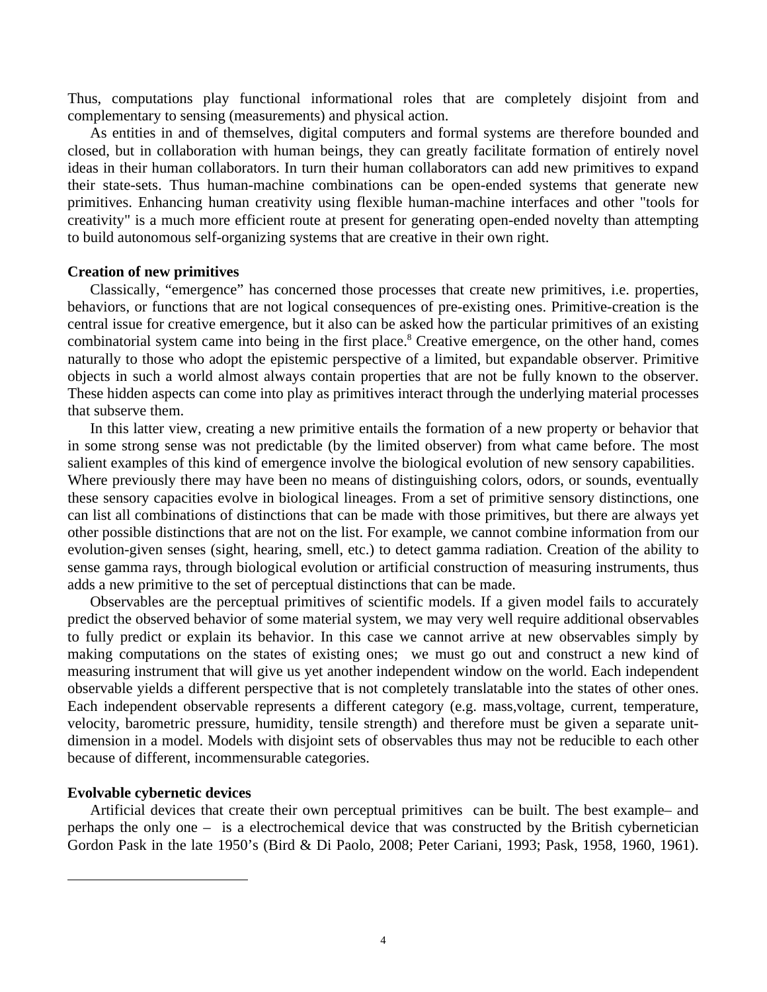Thus, computations play functional informational roles that are completely disjoint from and complementary to sensing (measurements) and physical action.

As entities in and of themselves, digital computers and formal systems are therefore bounded and closed, but in collaboration with human beings, they can greatly facilitate formation of entirely novel ideas in their human collaborators. In turn their human collaborators can add new primitives to expand their state-sets. Thus human-machine combinations can be open-ended systems that generate new primitives. Enhancing human creativity using flexible human-machine interfaces and other "tools for creativity" is a much more efficient route at present for generating open-ended novelty than attempting to build autonomous self-organizing systems that are creative in their own right.

## **Creation of new primitives**

Classically, "emergence" has concerned those processes that create new primitives, i.e. properties, behaviors, or functions that are not logical consequences of pre-existing ones. Primitive-creation is the central issue for creative emergence, but it also can be asked how the particular primitives of an existing combinatorial system came into being in the first place.<sup>8</sup> Creative emergence, on the other hand, comes naturally to those who adopt the epistemic perspective of a limited, but expandable observer. Primitive objects in such a world almost always contain properties that are not be fully known to the observer. These hidden aspects can come into play as primitives interact through the underlying material processes that subserve them.

In this latter view, creating a new primitive entails the formation of a new property or behavior that in some strong sense was not predictable (by the limited observer) from what came before. The most salient examples of this kind of emergence involve the biological evolution of new sensory capabilities. Where previously there may have been no means of distinguishing colors, odors, or sounds, eventually these sensory capacities evolve in biological lineages. From a set of primitive sensory distinctions, one can list all combinations of distinctions that can be made with those primitives, but there are always yet other possible distinctions that are not on the list. For example, we cannot combine information from our evolution-given senses (sight, hearing, smell, etc.) to detect gamma radiation. Creation of the ability to sense gamma rays, through biological evolution or artificial construction of measuring instruments, thus adds a new primitive to the set of perceptual distinctions that can be made.

Observables are the perceptual primitives of scientific models. If a given model fails to accurately predict the observed behavior of some material system, we may very well require additional observables to fully predict or explain its behavior. In this case we cannot arrive at new observables simply by making computations on the states of existing ones; we must go out and construct a new kind of measuring instrument that will give us yet another independent window on the world. Each independent observable yields a different perspective that is not completely translatable into the states of other ones. Each independent observable represents a different category (e.g. mass,voltage, current, temperature, velocity, barometric pressure, humidity, tensile strength) and therefore must be given a separate unitdimension in a model. Models with disjoint sets of observables thus may not be reducible to each other because of different, incommensurable categories.

## **Evolvable cybernetic devices**

<u>.</u>

Artificial devices that create their own perceptual primitives can be built. The best example– and perhaps the only one – is a electrochemical device that was constructed by the British cybernetician Gordon Pask in the late 1950's (Bird & Di Paolo, 2008; Peter Cariani, 1993; Pask, 1958, 1960, 1961).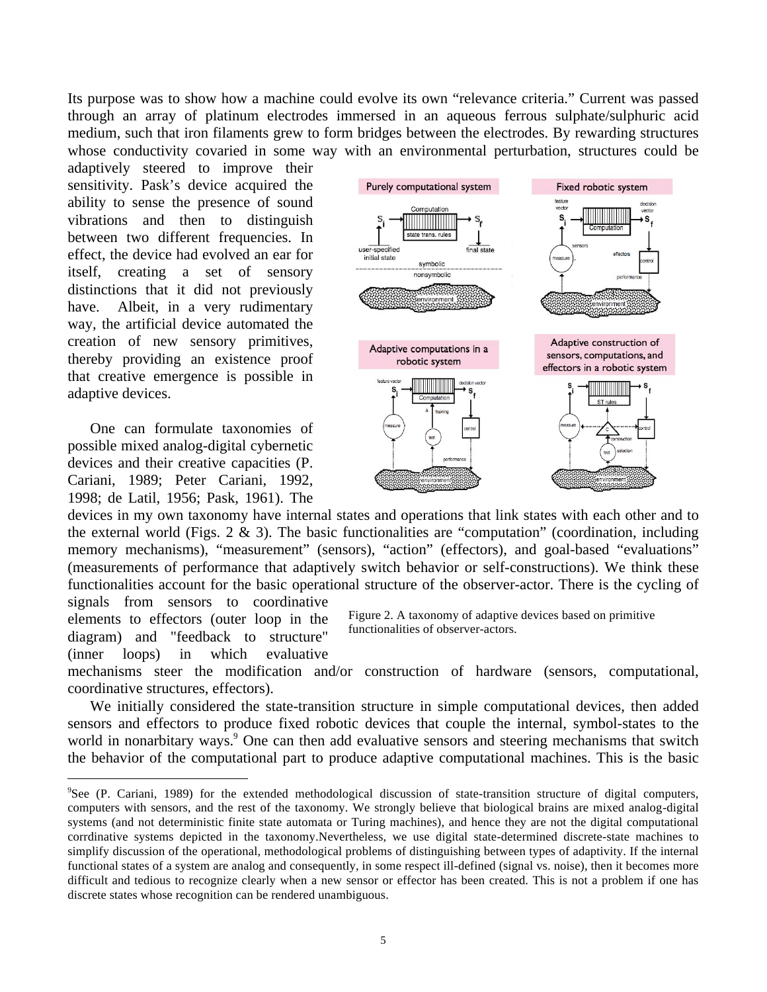Its purpose was to show how a machine could evolve its own "relevance criteria." Current was passed through an array of platinum electrodes immersed in an aqueous ferrous sulphate/sulphuric acid medium, such that iron filaments grew to form bridges between the electrodes. By rewarding structures whose conductivity covaried in some way with an environmental perturbation, structures could be

adaptively steered to improve their sensitivity. Pask's device acquired the ability to sense the presence of sound vibrations and then to distinguish between two different frequencies. In effect, the device had evolved an ear for itself, creating a set of sensory distinctions that it did not previously have. Albeit, in a very rudimentary way, the artificial device automated the creation of new sensory primitives, thereby providing an existence proof that creative emergence is possible in adaptive devices.

One can formulate taxonomies of possible mixed analog-digital cybernetic devices and their creative capacities (P. Cariani, 1989; Peter Cariani, 1992, 1998; de Latil, 1956; Pask, 1961). The



devices in my own taxonomy have internal states and operations that link states with each other and to the external world (Figs. 2  $\&$  3). The basic functionalities are "computation" (coordination, including memory mechanisms), "measurement" (sensors), "action" (effectors), and goal-based "evaluations" (measurements of performance that adaptively switch behavior or self-constructions). We think these functionalities account for the basic operational structure of the observer-actor. There is the cycling of signals from sensors to coordinative

elements to effectors (outer loop in the diagram) and "feedback to structure" (inner loops) in which evaluative Figure 2. A taxonomy of adaptive devices based on primitive functionalities of observer-actors.

mechanisms steer the modification and/or construction of hardware (sensors, computational, coordinative structures, effectors).

We initially considered the state-transition structure in simple computational devices, then added sensors and effectors to produce fixed robotic devices that couple the internal, symbol-states to the world in nonarbitary ways.<sup>9</sup> One can then add evaluative sensors and steering mechanisms that switch the behavior of the computational part to produce adaptive computational machines. This is the basic

<sup>-&</sup>lt;br>9 <sup>9</sup>See (P. Cariani, 1989) for the extended methodological discussion of state-transition structure of digital computers, computers with sensors, and the rest of the taxonomy. We strongly believe that biological brains are mixed analog-digital systems (and not deterministic finite state automata or Turing machines), and hence they are not the digital computational corrdinative systems depicted in the taxonomy.Nevertheless, we use digital state-determined discrete-state machines to simplify discussion of the operational, methodological problems of distinguishing between types of adaptivity. If the internal functional states of a system are analog and consequently, in some respect ill-defined (signal vs. noise), then it becomes more difficult and tedious to recognize clearly when a new sensor or effector has been created. This is not a problem if one has discrete states whose recognition can be rendered unambiguous.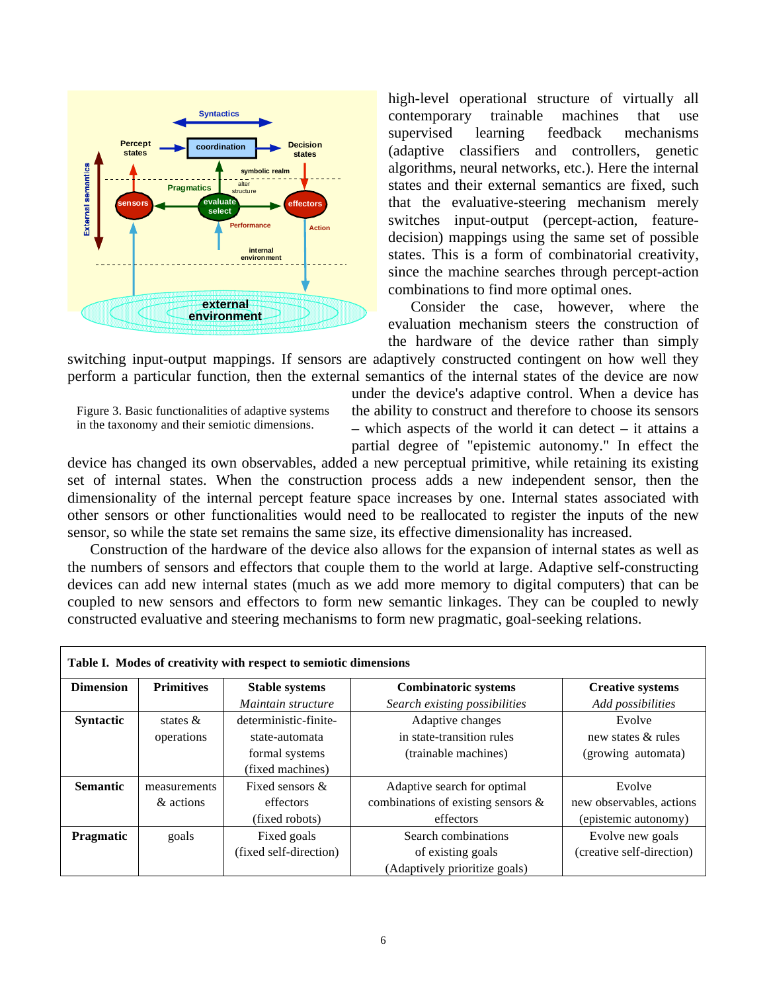

high-level operational structure of virtually all contemporary trainable machines that use supervised learning feedback mechanisms (adaptive classifiers and controllers, genetic algorithms, neural networks, etc.). Here the internal states and their external semantics are fixed, such that the evaluative-steering mechanism merely switches input-output (percept-action, featuredecision) mappings using the same set of possible states. This is a form of combinatorial creativity, since the machine searches through percept-action combinations to find more optimal ones.

Consider the case, however, where the evaluation mechanism steers the construction of the hardware of the device rather than simply

switching input-output mappings. If sensors are adaptively constructed contingent on how well they perform a particular function, then the external semantics of the internal states of the device are now



under the device's adaptive control. When a device has the ability to construct and therefore to choose its sensors – which aspects of the world it can detect – it attains a partial degree of "epistemic autonomy." In effect the

device has changed its own observables, added a new perceptual primitive, while retaining its existing set of internal states. When the construction process adds a new independent sensor, then the dimensionality of the internal percept feature space increases by one. Internal states associated with other sensors or other functionalities would need to be reallocated to register the inputs of the new sensor, so while the state set remains the same size, its effective dimensionality has increased.

Construction of the hardware of the device also allows for the expansion of internal states as well as the numbers of sensors and effectors that couple them to the world at large. Adaptive self-constructing devices can add new internal states (much as we add more memory to digital computers) that can be coupled to new sensors and effectors to form new semantic linkages. They can be coupled to newly constructed evaluative and steering mechanisms to form new pragmatic, goal-seeking relations.

| Table I. Modes of creativity with respect to semiotic dimensions |                   |                        |                                       |                           |
|------------------------------------------------------------------|-------------------|------------------------|---------------------------------------|---------------------------|
| <b>Dimension</b>                                                 | <b>Primitives</b> | <b>Stable systems</b>  | <b>Combinatoric systems</b>           | <b>Creative systems</b>   |
|                                                                  |                   | Maintain structure     | Search existing possibilities         | Add possibilities         |
| <b>Syntactic</b>                                                 | states $\&$       | deterministic-finite-  | Adaptive changes                      | Evolve                    |
|                                                                  | operations        | state-automata         | in state-transition rules             | new states & rules        |
|                                                                  |                   | formal systems         | (trainable machines)                  | (growing automata)        |
|                                                                  |                   | (fixed machines)       |                                       |                           |
| <b>Semantic</b>                                                  | measurements      | Fixed sensors &        | Adaptive search for optimal           | Evolve                    |
|                                                                  | & actions         | effectors              | combinations of existing sensors $\&$ | new observables, actions  |
|                                                                  |                   | (fixed robots)         | effectors                             | (epistemic autonomy)      |
| <b>Pragmatic</b>                                                 | goals             | Fixed goals            | Search combinations                   | Evolve new goals          |
|                                                                  |                   | (fixed self-direction) | of existing goals                     | (creative self-direction) |
|                                                                  |                   |                        | (Adaptively prioritize goals)         |                           |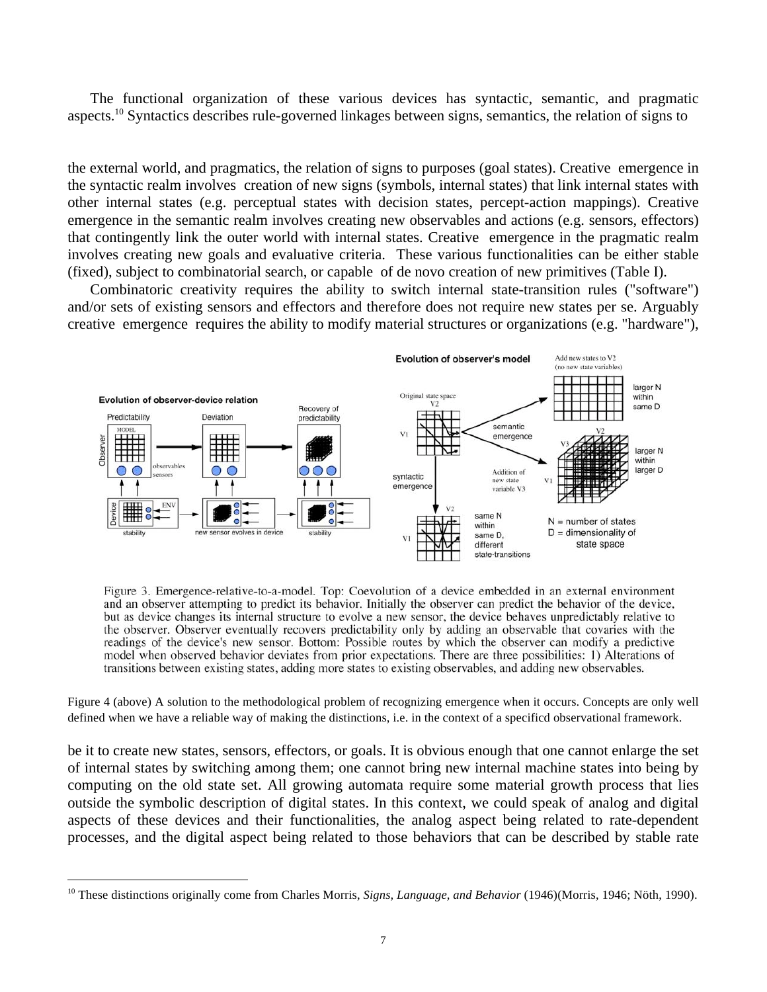The functional organization of these various devices has syntactic, semantic, and pragmatic aspects.10 Syntactics describes rule-governed linkages between signs, semantics, the relation of signs to

the external world, and pragmatics, the relation of signs to purposes (goal states). Creative emergence in the syntactic realm involves creation of new signs (symbols, internal states) that link internal states with other internal states (e.g. perceptual states with decision states, percept-action mappings). Creative emergence in the semantic realm involves creating new observables and actions (e.g. sensors, effectors) that contingently link the outer world with internal states. Creative emergence in the pragmatic realm involves creating new goals and evaluative criteria. These various functionalities can be either stable (fixed), subject to combinatorial search, or capable of de novo creation of new primitives (Table I).

Combinatoric creativity requires the ability to switch internal state-transition rules ("software") and/or sets of existing sensors and effectors and therefore does not require new states per se. Arguably creative emergence requires the ability to modify material structures or organizations (e.g. "hardware"),



Figure 3. Emergence-relative-to-a-model. Top: Coevolution of a device embedded in an external environment and an observer attempting to predict its behavior. Initially the observer can predict the behavior of the device, but as device changes its internal structure to evolve a new sensor, the device behaves unpredictably relative to the observer. Observer eventually recovers predictability only by adding an observable that covaries with the readings of the device's new sensor. Bottom: Possible routes by which the observer can modify a predictive model when observed behavior deviates from prior expectations. There are three possibilities: 1) Alterations of transitions between existing states, adding more states to existing observables, and adding new observables.

Figure 4 (above) A solution to the methodological problem of recognizing emergence when it occurs. Concepts are only well defined when we have a reliable way of making the distinctions, i.e. in the context of a specificd observational framework.

be it to create new states, sensors, effectors, or goals. It is obvious enough that one cannot enlarge the set of internal states by switching among them; one cannot bring new internal machine states into being by computing on the old state set. All growing automata require some material growth process that lies outside the symbolic description of digital states. In this context, we could speak of analog and digital aspects of these devices and their functionalities, the analog aspect being related to rate-dependent processes, and the digital aspect being related to those behaviors that can be described by stable rate

<sup>&</sup>lt;sup>10</sup> These distinctions originally come from Charles Morris, *Signs, Language, and Behavior* (1946)(Morris, 1946; Nöth, 1990).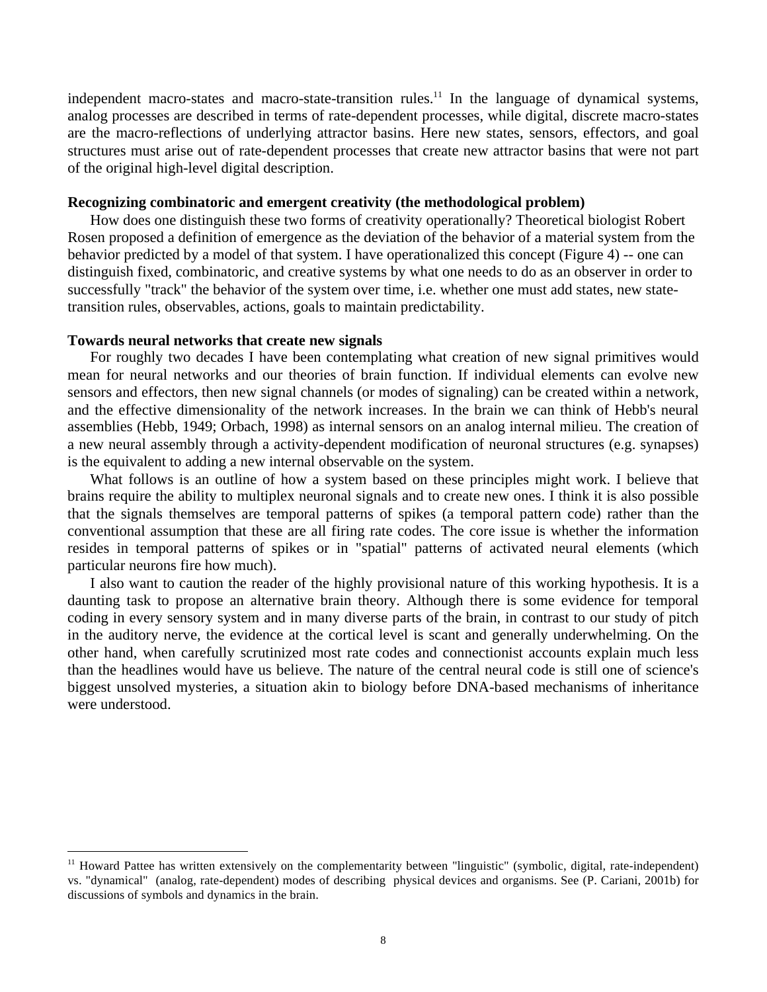independent macro-states and macro-state-transition rules.<sup>11</sup> In the language of dynamical systems, analog processes are described in terms of rate-dependent processes, while digital, discrete macro-states are the macro-reflections of underlying attractor basins. Here new states, sensors, effectors, and goal structures must arise out of rate-dependent processes that create new attractor basins that were not part of the original high-level digital description.

## **Recognizing combinatoric and emergent creativity (the methodological problem)**

How does one distinguish these two forms of creativity operationally? Theoretical biologist Robert Rosen proposed a definition of emergence as the deviation of the behavior of a material system from the behavior predicted by a model of that system. I have operationalized this concept (Figure 4) -- one can distinguish fixed, combinatoric, and creative systems by what one needs to do as an observer in order to successfully "track" the behavior of the system over time, i.e. whether one must add states, new statetransition rules, observables, actions, goals to maintain predictability.

#### **Towards neural networks that create new signals**

For roughly two decades I have been contemplating what creation of new signal primitives would mean for neural networks and our theories of brain function. If individual elements can evolve new sensors and effectors, then new signal channels (or modes of signaling) can be created within a network, and the effective dimensionality of the network increases. In the brain we can think of Hebb's neural assemblies (Hebb, 1949; Orbach, 1998) as internal sensors on an analog internal milieu. The creation of a new neural assembly through a activity-dependent modification of neuronal structures (e.g. synapses) is the equivalent to adding a new internal observable on the system.

What follows is an outline of how a system based on these principles might work. I believe that brains require the ability to multiplex neuronal signals and to create new ones. I think it is also possible that the signals themselves are temporal patterns of spikes (a temporal pattern code) rather than the conventional assumption that these are all firing rate codes. The core issue is whether the information resides in temporal patterns of spikes or in "spatial" patterns of activated neural elements (which particular neurons fire how much).

I also want to caution the reader of the highly provisional nature of this working hypothesis. It is a daunting task to propose an alternative brain theory. Although there is some evidence for temporal coding in every sensory system and in many diverse parts of the brain, in contrast to our study of pitch in the auditory nerve, the evidence at the cortical level is scant and generally underwhelming. On the other hand, when carefully scrutinized most rate codes and connectionist accounts explain much less than the headlines would have us believe. The nature of the central neural code is still one of science's biggest unsolved mysteries, a situation akin to biology before DNA-based mechanisms of inheritance were understood.

 $<sup>11</sup>$  Howard Pattee has written extensively on the complementarity between "linguistic" (symbolic, digital, rate-independent)</sup> vs. "dynamical" (analog, rate-dependent) modes of describing physical devices and organisms. See (P. Cariani, 2001b) for discussions of symbols and dynamics in the brain.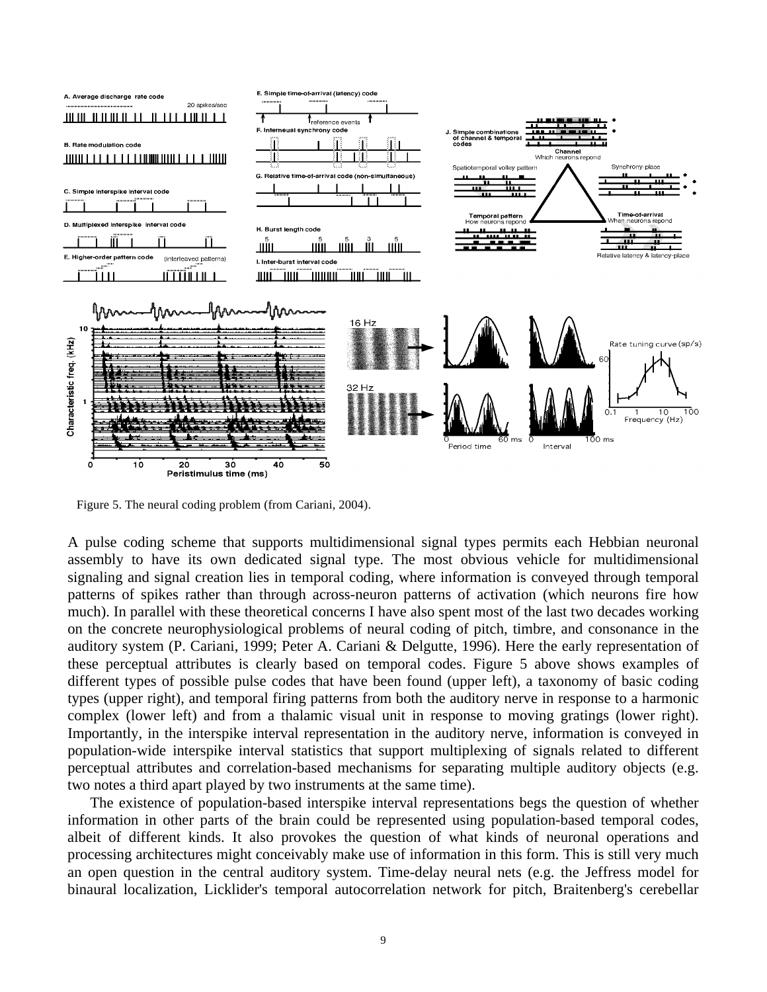

Figure 5. The neural coding problem (from Cariani, 2004).

A pulse coding scheme that supports multidimensional signal types permits each Hebbian neuronal assembly to have its own dedicated signal type. The most obvious vehicle for multidimensional signaling and signal creation lies in temporal coding, where information is conveyed through temporal patterns of spikes rather than through across-neuron patterns of activation (which neurons fire how much). In parallel with these theoretical concerns I have also spent most of the last two decades working on the concrete neurophysiological problems of neural coding of pitch, timbre, and consonance in the auditory system (P. Cariani, 1999; Peter A. Cariani & Delgutte, 1996). Here the early representation of these perceptual attributes is clearly based on temporal codes. Figure 5 above shows examples of different types of possible pulse codes that have been found (upper left), a taxonomy of basic coding types (upper right), and temporal firing patterns from both the auditory nerve in response to a harmonic complex (lower left) and from a thalamic visual unit in response to moving gratings (lower right). Importantly, in the interspike interval representation in the auditory nerve, information is conveyed in population-wide interspike interval statistics that support multiplexing of signals related to different perceptual attributes and correlation-based mechanisms for separating multiple auditory objects (e.g. two notes a third apart played by two instruments at the same time).

The existence of population-based interspike interval representations begs the question of whether information in other parts of the brain could be represented using population-based temporal codes, albeit of different kinds. It also provokes the question of what kinds of neuronal operations and processing architectures might conceivably make use of information in this form. This is still very much an open question in the central auditory system. Time-delay neural nets (e.g. the Jeffress model for binaural localization, Licklider's temporal autocorrelation network for pitch, Braitenberg's cerebellar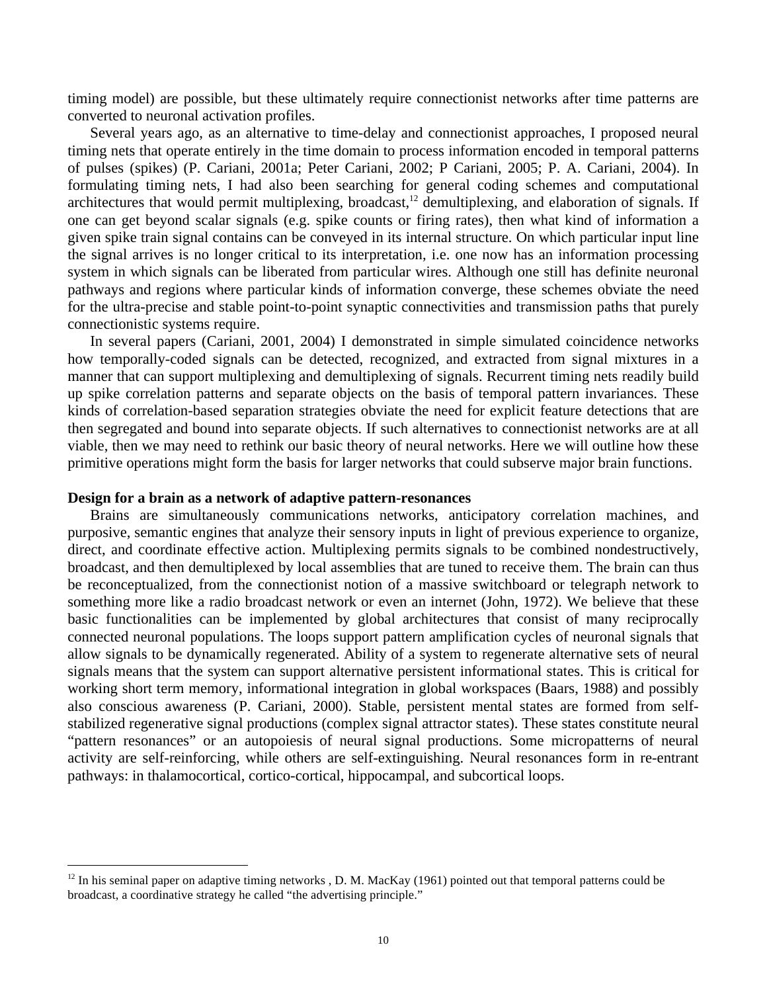timing model) are possible, but these ultimately require connectionist networks after time patterns are converted to neuronal activation profiles.

Several years ago, as an alternative to time-delay and connectionist approaches, I proposed neural timing nets that operate entirely in the time domain to process information encoded in temporal patterns of pulses (spikes) (P. Cariani, 2001a; Peter Cariani, 2002; P Cariani, 2005; P. A. Cariani, 2004). In formulating timing nets, I had also been searching for general coding schemes and computational architectures that would permit multiplexing, broadcast,<sup>12</sup> demultiplexing, and elaboration of signals. If one can get beyond scalar signals (e.g. spike counts or firing rates), then what kind of information a given spike train signal contains can be conveyed in its internal structure. On which particular input line the signal arrives is no longer critical to its interpretation, i.e. one now has an information processing system in which signals can be liberated from particular wires. Although one still has definite neuronal pathways and regions where particular kinds of information converge, these schemes obviate the need for the ultra-precise and stable point-to-point synaptic connectivities and transmission paths that purely connectionistic systems require.

In several papers (Cariani, 2001, 2004) I demonstrated in simple simulated coincidence networks how temporally-coded signals can be detected, recognized, and extracted from signal mixtures in a manner that can support multiplexing and demultiplexing of signals. Recurrent timing nets readily build up spike correlation patterns and separate objects on the basis of temporal pattern invariances. These kinds of correlation-based separation strategies obviate the need for explicit feature detections that are then segregated and bound into separate objects. If such alternatives to connectionist networks are at all viable, then we may need to rethink our basic theory of neural networks. Here we will outline how these primitive operations might form the basis for larger networks that could subserve major brain functions.

#### **Design for a brain as a network of adaptive pattern-resonances**

Brains are simultaneously communications networks, anticipatory correlation machines, and purposive, semantic engines that analyze their sensory inputs in light of previous experience to organize, direct, and coordinate effective action. Multiplexing permits signals to be combined nondestructively, broadcast, and then demultiplexed by local assemblies that are tuned to receive them. The brain can thus be reconceptualized, from the connectionist notion of a massive switchboard or telegraph network to something more like a radio broadcast network or even an internet (John, 1972). We believe that these basic functionalities can be implemented by global architectures that consist of many reciprocally connected neuronal populations. The loops support pattern amplification cycles of neuronal signals that allow signals to be dynamically regenerated. Ability of a system to regenerate alternative sets of neural signals means that the system can support alternative persistent informational states. This is critical for working short term memory, informational integration in global workspaces (Baars, 1988) and possibly also conscious awareness (P. Cariani, 2000). Stable, persistent mental states are formed from selfstabilized regenerative signal productions (complex signal attractor states). These states constitute neural "pattern resonances" or an autopoiesis of neural signal productions. Some micropatterns of neural activity are self-reinforcing, while others are self-extinguishing. Neural resonances form in re-entrant pathways: in thalamocortical, cortico-cortical, hippocampal, and subcortical loops.

 $12$  In his seminal paper on adaptive timing networks , D. M. MacKay (1961) pointed out that temporal patterns could be broadcast, a coordinative strategy he called "the advertising principle."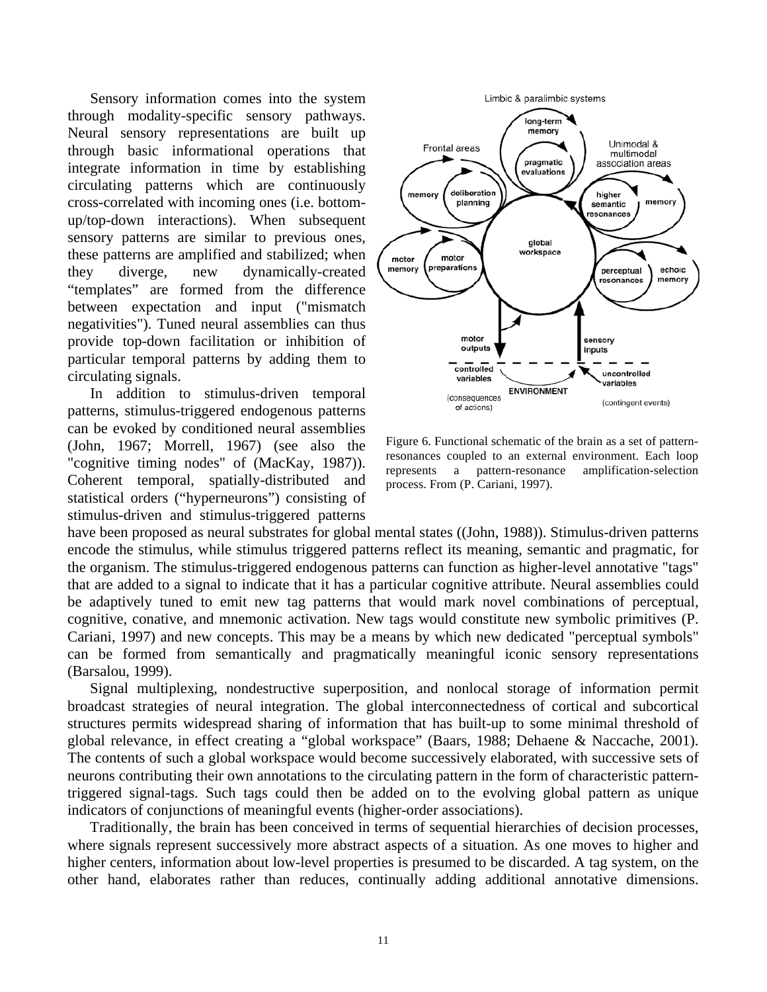Sensory information comes into the system through modality-specific sensory pathways. Neural sensory representations are built up through basic informational operations that integrate information in time by establishing circulating patterns which are continuously cross-correlated with incoming ones (i.e. bottomup/top-down interactions). When subsequent sensory patterns are similar to previous ones, these patterns are amplified and stabilized; when they diverge, new dynamically-created "templates" are formed from the difference between expectation and input ("mismatch negativities"). Tuned neural assemblies can thus provide top-down facilitation or inhibition of particular temporal patterns by adding them to circulating signals.

In addition to stimulus-driven temporal patterns, stimulus-triggered endogenous patterns can be evoked by conditioned neural assemblies (John, 1967; Morrell, 1967) (see also the "cognitive timing nodes" of (MacKay, 1987)). Coherent temporal, spatially-distributed and statistical orders ("hyperneurons") consisting of stimulus-driven and stimulus-triggered patterns



Figure 6. Functional schematic of the brain as a set of patternresonances coupled to an external environment. Each loop represents a pattern-resonance amplification-selection process. From (P. Cariani, 1997).

have been proposed as neural substrates for global mental states ((John, 1988)). Stimulus-driven patterns encode the stimulus, while stimulus triggered patterns reflect its meaning, semantic and pragmatic, for the organism. The stimulus-triggered endogenous patterns can function as higher-level annotative "tags" that are added to a signal to indicate that it has a particular cognitive attribute. Neural assemblies could be adaptively tuned to emit new tag patterns that would mark novel combinations of perceptual, cognitive, conative, and mnemonic activation. New tags would constitute new symbolic primitives (P. Cariani, 1997) and new concepts. This may be a means by which new dedicated "perceptual symbols" can be formed from semantically and pragmatically meaningful iconic sensory representations (Barsalou, 1999).

Signal multiplexing, nondestructive superposition, and nonlocal storage of information permit broadcast strategies of neural integration. The global interconnectedness of cortical and subcortical structures permits widespread sharing of information that has built-up to some minimal threshold of global relevance, in effect creating a "global workspace" (Baars, 1988; Dehaene & Naccache, 2001). The contents of such a global workspace would become successively elaborated, with successive sets of neurons contributing their own annotations to the circulating pattern in the form of characteristic patterntriggered signal-tags. Such tags could then be added on to the evolving global pattern as unique indicators of conjunctions of meaningful events (higher-order associations).

Traditionally, the brain has been conceived in terms of sequential hierarchies of decision processes, where signals represent successively more abstract aspects of a situation. As one moves to higher and higher centers, information about low-level properties is presumed to be discarded. A tag system, on the other hand, elaborates rather than reduces, continually adding additional annotative dimensions.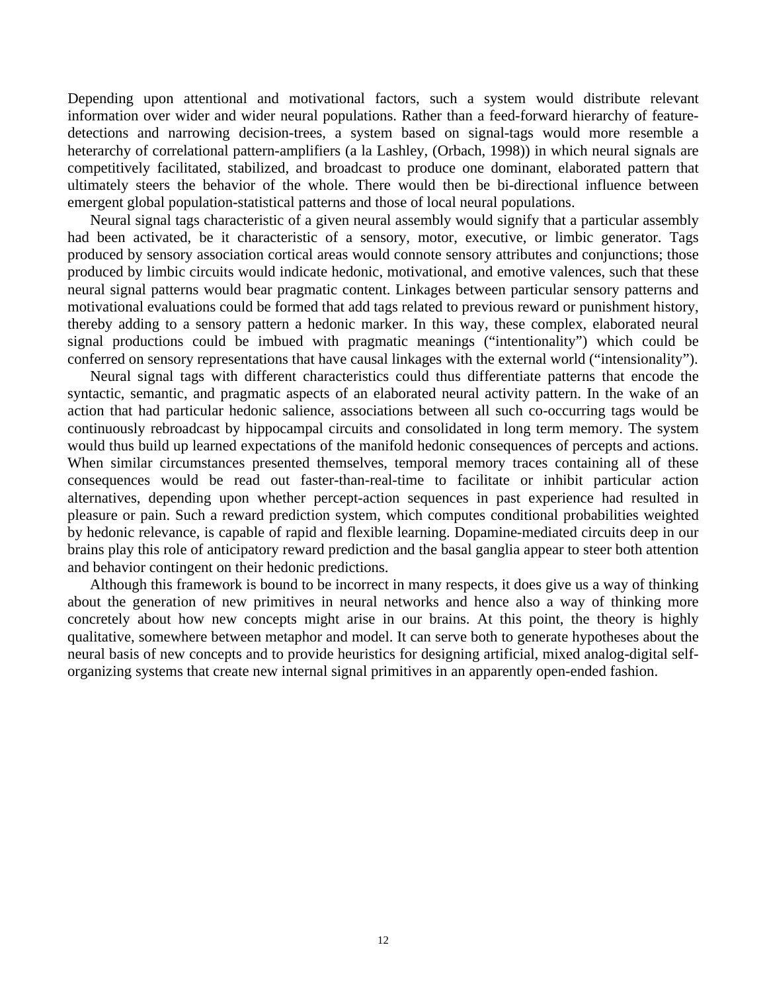Depending upon attentional and motivational factors, such a system would distribute relevant information over wider and wider neural populations. Rather than a feed-forward hierarchy of featuredetections and narrowing decision-trees, a system based on signal-tags would more resemble a heterarchy of correlational pattern-amplifiers (a la Lashley, (Orbach, 1998)) in which neural signals are competitively facilitated, stabilized, and broadcast to produce one dominant, elaborated pattern that ultimately steers the behavior of the whole. There would then be bi-directional influence between emergent global population-statistical patterns and those of local neural populations.

Neural signal tags characteristic of a given neural assembly would signify that a particular assembly had been activated, be it characteristic of a sensory, motor, executive, or limbic generator. Tags produced by sensory association cortical areas would connote sensory attributes and conjunctions; those produced by limbic circuits would indicate hedonic, motivational, and emotive valences, such that these neural signal patterns would bear pragmatic content. Linkages between particular sensory patterns and motivational evaluations could be formed that add tags related to previous reward or punishment history, thereby adding to a sensory pattern a hedonic marker. In this way, these complex, elaborated neural signal productions could be imbued with pragmatic meanings ("intentionality") which could be conferred on sensory representations that have causal linkages with the external world ("intensionality").

Neural signal tags with different characteristics could thus differentiate patterns that encode the syntactic, semantic, and pragmatic aspects of an elaborated neural activity pattern. In the wake of an action that had particular hedonic salience, associations between all such co-occurring tags would be continuously rebroadcast by hippocampal circuits and consolidated in long term memory. The system would thus build up learned expectations of the manifold hedonic consequences of percepts and actions. When similar circumstances presented themselves, temporal memory traces containing all of these consequences would be read out faster-than-real-time to facilitate or inhibit particular action alternatives, depending upon whether percept-action sequences in past experience had resulted in pleasure or pain. Such a reward prediction system, which computes conditional probabilities weighted by hedonic relevance, is capable of rapid and flexible learning. Dopamine-mediated circuits deep in our brains play this role of anticipatory reward prediction and the basal ganglia appear to steer both attention and behavior contingent on their hedonic predictions.

Although this framework is bound to be incorrect in many respects, it does give us a way of thinking about the generation of new primitives in neural networks and hence also a way of thinking more concretely about how new concepts might arise in our brains. At this point, the theory is highly qualitative, somewhere between metaphor and model. It can serve both to generate hypotheses about the neural basis of new concepts and to provide heuristics for designing artificial, mixed analog-digital selforganizing systems that create new internal signal primitives in an apparently open-ended fashion.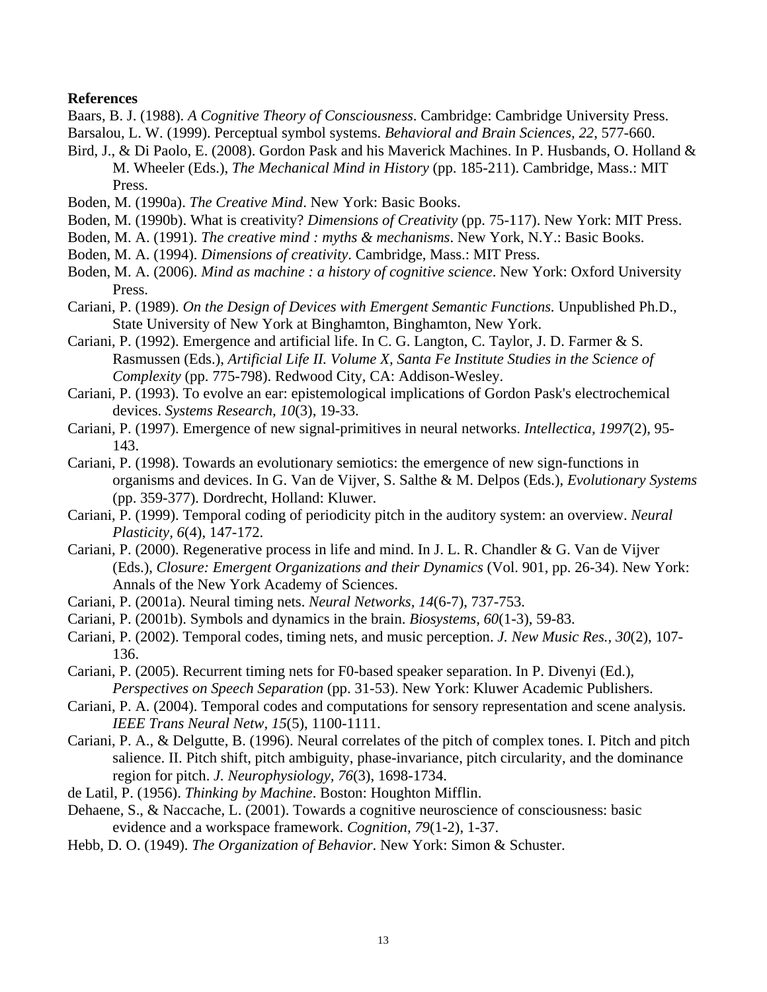#### **References**

- Baars, B. J. (1988). *A Cognitive Theory of Consciousness*. Cambridge: Cambridge University Press.
- Barsalou, L. W. (1999). Perceptual symbol systems. *Behavioral and Brain Sciences, 22*, 577-660.
- Bird, J., & Di Paolo, E. (2008). Gordon Pask and his Maverick Machines. In P. Husbands, O. Holland & M. Wheeler (Eds.), *The Mechanical Mind in History* (pp. 185-211). Cambridge, Mass.: MIT Press.
- Boden, M. (1990a). *The Creative Mind*. New York: Basic Books.
- Boden, M. (1990b). What is creativity? *Dimensions of Creativity* (pp. 75-117). New York: MIT Press.
- Boden, M. A. (1991). *The creative mind : myths & mechanisms*. New York, N.Y.: Basic Books.
- Boden, M. A. (1994). *Dimensions of creativity*. Cambridge, Mass.: MIT Press.
- Boden, M. A. (2006). *Mind as machine : a history of cognitive science*. New York: Oxford University Press.
- Cariani, P. (1989). *On the Design of Devices with Emergent Semantic Functions.* Unpublished Ph.D., State University of New York at Binghamton, Binghamton, New York.
- Cariani, P. (1992). Emergence and artificial life. In C. G. Langton, C. Taylor, J. D. Farmer & S. Rasmussen (Eds.), *Artificial Life II. Volume X, Santa Fe Institute Studies in the Science of Complexity* (pp. 775-798). Redwood City, CA: Addison-Wesley.
- Cariani, P. (1993). To evolve an ear: epistemological implications of Gordon Pask's electrochemical devices. *Systems Research, 10*(3), 19-33.
- Cariani, P. (1997). Emergence of new signal-primitives in neural networks. *Intellectica, 1997*(2), 95- 143.
- Cariani, P. (1998). Towards an evolutionary semiotics: the emergence of new sign-functions in organisms and devices. In G. Van de Vijver, S. Salthe & M. Delpos (Eds.), *Evolutionary Systems* (pp. 359-377). Dordrecht, Holland: Kluwer.
- Cariani, P. (1999). Temporal coding of periodicity pitch in the auditory system: an overview. *Neural Plasticity, 6*(4), 147-172.
- Cariani, P. (2000). Regenerative process in life and mind. In J. L. R. Chandler & G. Van de Vijver (Eds.), *Closure: Emergent Organizations and their Dynamics* (Vol. 901, pp. 26-34). New York: Annals of the New York Academy of Sciences.
- Cariani, P. (2001a). Neural timing nets. *Neural Networks, 14*(6-7), 737-753.
- Cariani, P. (2001b). Symbols and dynamics in the brain. *Biosystems, 60*(1-3), 59-83.
- Cariani, P. (2002). Temporal codes, timing nets, and music perception. *J. New Music Res., 30*(2), 107- 136.
- Cariani, P. (2005). Recurrent timing nets for F0-based speaker separation. In P. Divenyi (Ed.), *Perspectives on Speech Separation* (pp. 31-53). New York: Kluwer Academic Publishers.
- Cariani, P. A. (2004). Temporal codes and computations for sensory representation and scene analysis. *IEEE Trans Neural Netw, 15*(5), 1100-1111.
- Cariani, P. A., & Delgutte, B. (1996). Neural correlates of the pitch of complex tones. I. Pitch and pitch salience. II. Pitch shift, pitch ambiguity, phase-invariance, pitch circularity, and the dominance region for pitch. *J. Neurophysiology, 76*(3), 1698-1734.
- de Latil, P. (1956). *Thinking by Machine*. Boston: Houghton Mifflin.
- Dehaene, S., & Naccache, L. (2001). Towards a cognitive neuroscience of consciousness: basic evidence and a workspace framework. *Cognition, 79*(1-2), 1-37.
- Hebb, D. O. (1949). *The Organization of Behavior*. New York: Simon & Schuster.